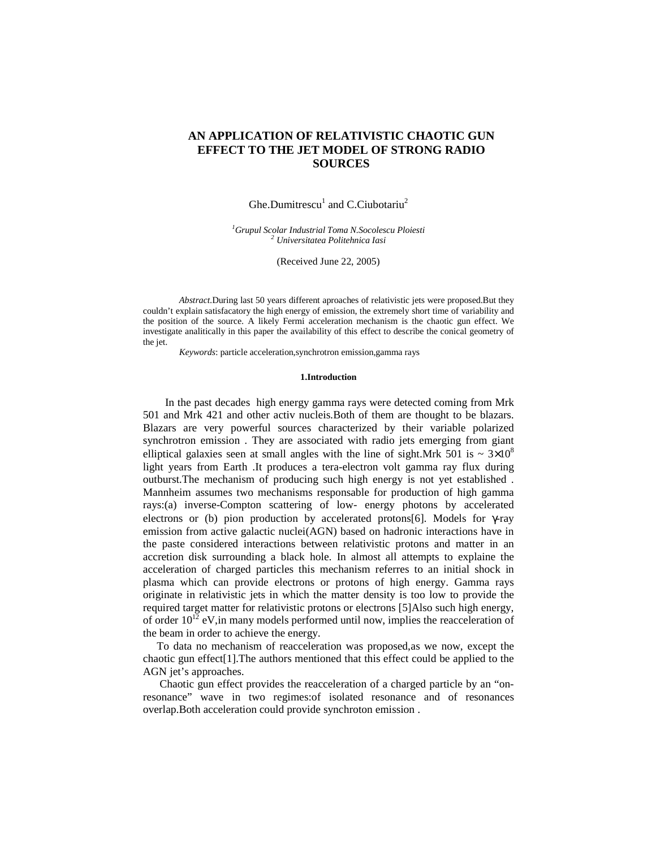# **AN APPLICATION OF RELATIVISTIC CHAOTIC GUN EFFECT TO THE JET MODEL OF STRONG RADIO SOURCES**

Ghe.Dumitrescu<sup>1</sup> and C.Ciubotariu<sup>2</sup>

*<sup>1</sup>Grupul Scolar Industrial Toma N.Socolescu Ploiesti <sup>2</sup> Universitatea Politehnica Iasi*

(Received June 22, 2005)

*Abstract*.During last 50 years different aproaches of relativistic jets were proposed.But they couldn't explain satisfacatory the high energy of emission, the extremely short time of variability and the position of the source. A likely Fermi acceleration mechanism is the chaotic gun effect. We investigate analitically in this paper the availability of this effect to describe the conical geometry of the jet.

*Keywords*: particle acceleration,synchrotron emission,gamma rays

### **1.Introduction**

 In the past decades high energy gamma rays were detected coming from Mrk 501 and Mrk 421 and other activ nucleis.Both of them are thought to be blazars. Blazars are very powerful sources characterized by their variable polarized synchrotron emission . They are associated with radio jets emerging from giant elliptical galaxies seen at small angles with the line of sight. Mrk 501 is  $\sim 3 \times 10^8$ light years from Earth .It produces a tera-electron volt gamma ray flux during outburst.The mechanism of producing such high energy is not yet established . Mannheim assumes two mechanisms responsable for production of high gamma rays:(a) inverse-Compton scattering of low- energy photons by accelerated electrons or (b) pion production by accelerated protons[6]. Models for γ-ray emission from active galactic nuclei(AGN) based on hadronic interactions have in the paste considered interactions between relativistic protons and matter in an accretion disk surrounding a black hole. In almost all attempts to explaine the acceleration of charged particles this mechanism referres to an initial shock in plasma which can provide electrons or protons of high energy. Gamma rays originate in relativistic jets in which the matter density is too low to provide the required target matter for relativistic protons or electrons [5]Also such high energy, of order  $10^{12}$  eV, in many models performed until now, implies the reacceleration of the beam in order to achieve the energy.

To data no mechanism of reacceleration was proposed,as we now, except the chaotic gun effect[1].The authors mentioned that this effect could be applied to the AGN jet's approaches.

 Chaotic gun effect provides the reacceleration of a charged particle by an "onresonance" wave in two regimes:of isolated resonance and of resonances overlap.Both acceleration could provide synchroton emission .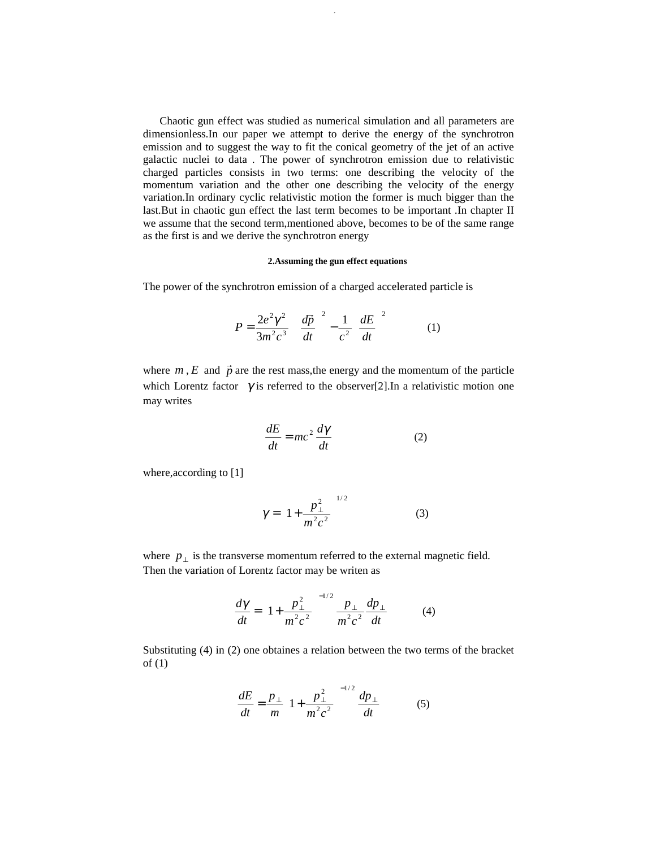Chaotic gun effect was studied as numerical simulation and all parameters are dimensionless.In our paper we attempt to derive the energy of the synchrotron emission and to suggest the way to fit the conical geometry of the jet of an active galactic nuclei to data . The power of synchrotron emission due to relativistic charged particles consists in two terms: one describing the velocity of the momentum variation and the other one describing the velocity of the energy variation.In ordinary cyclic relativistic motion the former is much bigger than the last.But in chaotic gun effect the last term becomes to be important .In chapter II we assume that the second term,mentioned above, becomes to be of the same range as the first is and we derive the synchrotron energy

360 Ghe. Dumitrescu, C. Ciubotariu

## **2.Assuming the gun effect equations**

The power of the synchrotron emission of a charged accelerated particle is

$$
P = \frac{2e^2\gamma^2}{3m^2c^3} \left[ \left(\frac{d\vec{p}}{dt}\right)^2 - \frac{1}{c^2} \left(\frac{dE}{dt}\right)^2 \right] \tag{1}
$$

where  $m$ ,  $E$  and  $\vec{p}$  are the rest mass, the energy and the momentum of the particle which Lorentz factor  $\gamma$  is referred to the observer[2]. In a relativistic motion one may writes

$$
\frac{dE}{dt} = mc^2 \frac{d\gamma}{dt} \tag{2}
$$

where, according to [1]

$$
\gamma = \left(1 + \frac{p_{\perp}^2}{m^2 c^2}\right)^{1/2} \tag{3}
$$

where  $p_{\perp}$  is the transverse momentum referred to the external magnetic field. Then the variation of Lorentz factor may be writen as

$$
\frac{d\gamma}{dt} = \left(1 + \frac{p_{\perp}^2}{m^2 c^2}\right)^{-1/2} \frac{p_{\perp}}{m^2 c^2} \frac{dp_{\perp}}{dt} \tag{4}
$$

Substituting (4) in (2) one obtaines a relation between the two terms of the bracket of (1)

$$
\frac{dE}{dt} = \frac{p_{\perp}}{m} \left( 1 + \frac{p_{\perp}^2}{m^2 c^2} \right)^{-1/2} \frac{dp_{\perp}}{dt}
$$
 (5)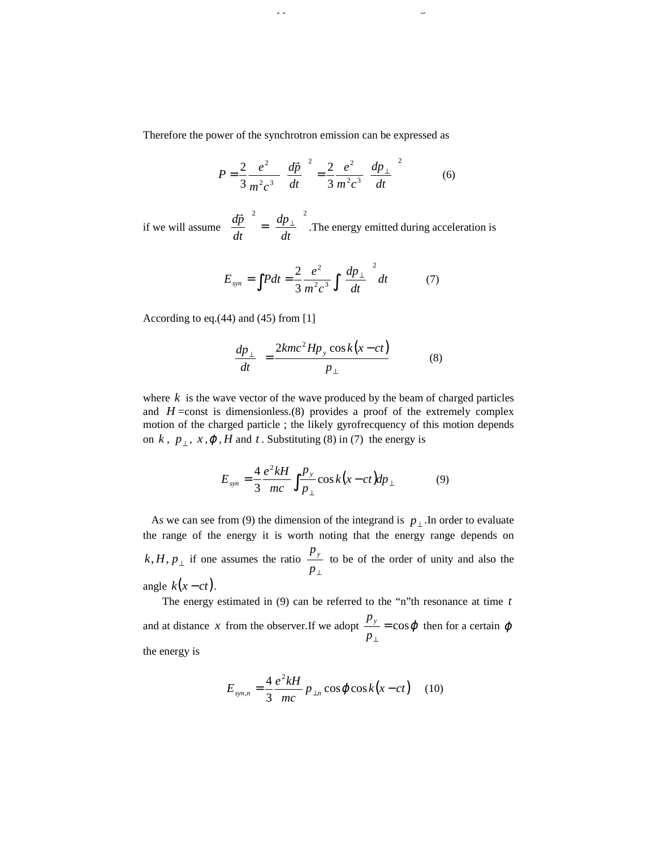Therefore the power of the synchrotron emission can be expressed as

 $\frac{3}{2}$ 61 An application of relativistic chaotic gun effect chaotic gun effect chaotic gun effect chaotic gun effect chaotic gun effect chaotic gun effect chaotic gun effect chaotic gun effect chaotic gun effect chaotic

$$
P = \frac{2}{3} \frac{e^2}{m^2 c^3} \left(\frac{d\vec{p}}{dt}\right)^2 = \frac{2}{3} \frac{e^2}{m^2 c^3} \left(\frac{dp_\perp}{dt}\right)^2 \tag{6}
$$

if we will assume 2  $(1)^2$ i,  $\overline{1}$  $\left(\frac{dp_{\perp}}{p_{\perp}}\right)$ l  $\int$  =  $\int$  $\big)$  $\left(\frac{dp}{dt}\right)$ l  $\left(\right. d\vec{p}\left.\right)$   $\left.\right|$   $\left(\right. dp_{\perp}\right)$ *dt dp dt*  $\left(\frac{d\vec{p}}{dt}\right)^2 = \left(\frac{dp_\perp}{dt}\right)^2$ . The energy emitted during acceleration is

$$
E_{syn} = \int Pdt = \frac{2}{3} \frac{e^2}{m^2 c^3} \int \left(\frac{dp_\perp}{dt}\right)^2 dt
$$
 (7)

According to eq.(44) and (45) from [1]

$$
\left(\frac{dp_{\perp}}{dt}\right) = \frac{2kmc^2Hp_y\cos k(x-ct)}{p_{\perp}}\tag{8}
$$

where *k* is the wave vector of the wave produced by the beam of charged particles and  $H = \text{const}$  is dimensionless.(8) provides a proof of the extremely complex motion of the charged particle ; the likely gyrofrecquency of this motion depends on  $k$ ,  $p_{\perp}$ ,  $x, \varphi$ ,  $H$  and  $t$ . Substituting (8) in (7) the energy is

$$
E_{syn} = \frac{4}{3} \frac{e^2 kH}{mc} \int \frac{p_y}{p_{\perp}} \cos k(x - ct) dp_{\perp}
$$
 (9)

As we can see from (9) the dimension of the integrand is  $p_{\perp}$ . In order to evaluate the range of the energy it is worth noting that the energy range depends on  $k, H, p_{\perp}$  if one assumes the ratio ⊥ *p*  $p_y$  to be of the order of unity and also the angle  $k(x-ct)$ .

 The energy estimated in (9) can be referred to the "n"th resonance at time *t* and at distance *x* from the observer.If we adopt  $\frac{F y}{r} = \cos \varphi$ ⊥ *p*  $\frac{p_y}{p}$  = cos  $\varphi$  then for a certain  $\varphi$ the energy is

$$
E_{syn,n} = \frac{4}{3} \frac{e^2 kH}{mc} p_{\perp n} \cos \varphi \cos k(x-ct) \quad (10)
$$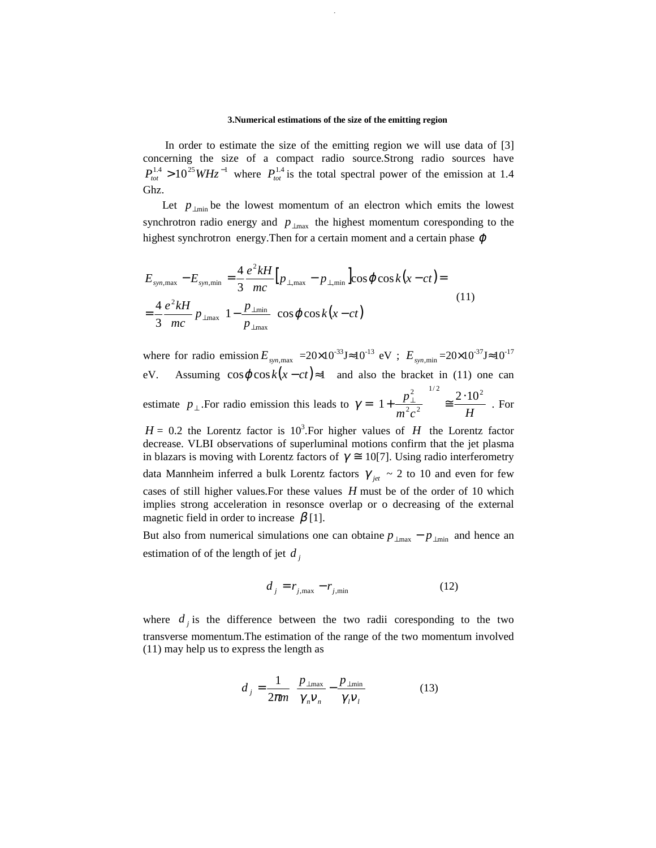#### **3.Numerical estimations of the size of the emitting region**

 In order to estimate the size of the emitting region we will use data of [3] concerning the size of a compact radio source.Strong radio sources have  $P_{tot}^{1.4} > 10^{25} W Hz^{-1}$  where  $P_{tot}^{1.4}$  is the total spectral power of the emission at 1.4 Ghz.

362 Ghe. Dumitrescu, C. Ciubotariu

Let  $p_{\perp \text{min}}$  be the lowest momentum of an electron which emits the lowest synchrotron radio energy and  $p_{\perp max}$  the highest momentum coresponding to the highest synchrotron energy. Then for a certain moment and a certain phase  $\varphi$ 

$$
E_{sym,\max} - E_{sym,\min} = \frac{4}{3} \frac{e^2 kH}{mc} \Big[ p_{\perp,\max} - p_{\perp,\min} \Big] \cos \varphi \cos k(x - ct) =
$$
  

$$
= \frac{4}{3} \frac{e^2 kH}{mc} p_{\perp\max} \Bigg[ 1 - \frac{p_{\perp\min}}{p_{\perp\max}} \Bigg] \cos \varphi \cos k(x - ct)
$$
(11)

where for radio emission  $E_{sym, max}$  = 20×10<sup>-33</sup>J ≈ 10<sup>-13</sup> eV ;  $E_{sym, min}$  = 20×10<sup>-37</sup>J ≈ 10<sup>-17</sup> eV. Assuming  $\cos \varphi \cos k(x-ct) \approx 1$  and also the bracket in (11) one can estimate  $p_{\perp}$ . For radio emission this leads to  $m^2c^2$  *H*  $p_{\perp}^2$ <sup>1/2</sup><sub>2</sub> 2 · 10<sup>2</sup>  $2^2$  $1 + \frac{p_{\perp}^2}{m^2 c^2}$   $\Big)^{1/2} \approx \frac{2 \cdot 10}{H}$  $\bigg)$  $\left( \frac{1}{2} \right)$  $\overline{\phantom{a}}$ l ſ  $\gamma = \left| 1 + \frac{P_{\perp}}{2} \right|$  =  $\frac{2.10}{\gamma}$ . For

 $H = 0.2$  the Lorentz factor is 10<sup>3</sup>. For higher values of *H* the Lorentz factor decrease. VLBI observations of superluminal motions confirm that the jet plasma in blazars is moving with Lorentz factors of  $\gamma \approx 10[7]$ . Using radio interferometry data Mannheim inferred a bulk Lorentz factors  $\gamma_{jet} \sim 2$  to 10 and even for few cases of still higher values.For these values *H* must be of the order of 10 which implies strong acceleration in resonsce overlap or o decreasing of the external magnetic field in order to increase  $\beta$  [1].

But also from numerical simulations one can obtaine  $p_{\perp max} - p_{\perp min}$  and hence an estimation of of the length of jet  $d_j$ 

$$
d_j = r_{j, \text{max}} - r_{j, \text{min}} \tag{12}
$$

where  $d_j$  is the difference between the two radii coresponding to the two transverse momentum.The estimation of the range of the two momentum involved (11) may help us to express the length as

$$
d_j = \frac{1}{2\pi m} \left( \frac{p_{\perp \text{max}}}{\gamma_n v_n} - \frac{p_{\perp \text{min}}}{\gamma_l v_l} \right) \tag{13}
$$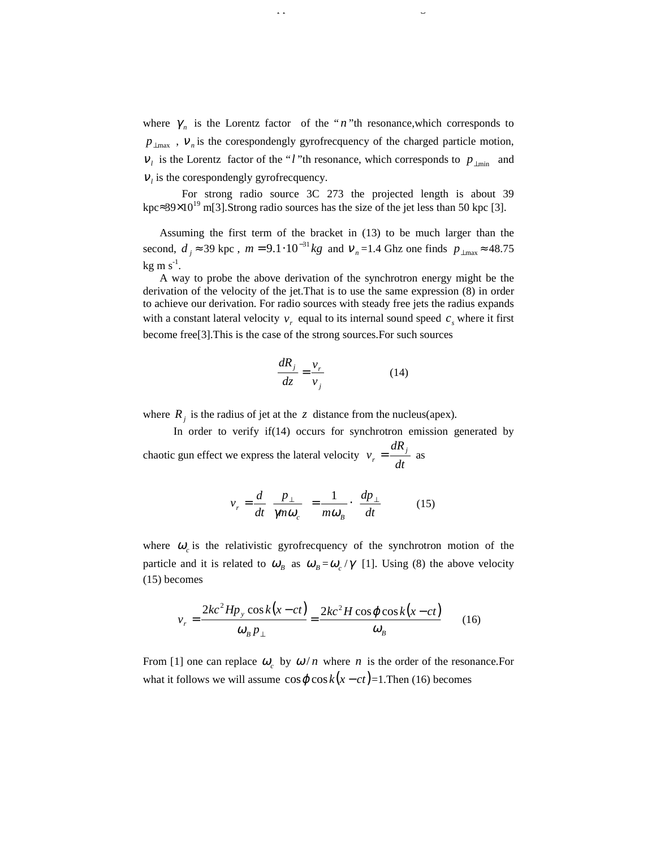where  $\gamma_n$  is the Lorentz factor of the "*n*"th resonance, which corresponds to  $p_{\perp max}$ ,  $v_n$  is the corespondengly gyrofrecquency of the charged particle motion,  $V_l$  is the Lorentz factor of the "*l* "th resonance, which corresponds to  $p_{\perp m i n}$  and  $V_l$  is the corespondengly gyrofrecquency.

 $\frac{3}{36}$  An application of relativistic chaotic gun effect chaotic gun effect chaotic gun effect chaotic gun effect chaotic gun effect chaotic gun effect chaotic gun effect chaotic gun effect chaotic gun effect chaotic

 For strong radio source 3C 273 the projected length is about 39 kpc≈39×10<sup>19</sup> m[3].Strong radio sources has the size of the jet less than 50 kpc [3].

 Assuming the first term of the bracket in (13) to be much larger than the second,  $d_j \approx 39 \text{ kpc}$ ,  $m = 9.1 \cdot 10^{-31} \text{ kg}$  and  $v_n = 1.4 \text{ Ghz one finds } p_{\perp \text{max}} \approx 48.75$  $kg \text{ m s}^{-1}$ .

 A way to probe the above derivation of the synchrotron energy might be the derivation of the velocity of the jet.That is to use the same expression (8) in order to achieve our derivation. For radio sources with steady free jets the radius expands with a constant lateral velocity  $v_r$  equal to its internal sound speed  $c_s$  where it first become free[3].This is the case of the strong sources.For such sources

$$
\frac{dR_j}{dz} = \frac{v_r}{v_j} \tag{14}
$$

where  $R_j$  is the radius of jet at the *z* distance from the nucleus(apex).

 In order to verify if(14) occurs for synchrotron emission generated by chaotic gun effect we express the lateral velocity *dt dR*  $v_r = \frac{u \cdot v_j}{l}$  as

$$
v_r = \frac{d}{dt} \left( \frac{p_\perp}{\eta n \omega_c} \right) = \frac{1}{m \omega_B} \cdot \left( \frac{dp_\perp}{dt} \right) \tag{15}
$$

where  $\omega_c$  is the relativistic gyrofrecquency of the synchrotron motion of the particle and it is related to  $\omega_B$  as  $\omega_B = \omega_c / \gamma$  [1]. Using (8) the above velocity (15) becomes

$$
v_r = \frac{2kc^2Hp_y\cos k(x-ct)}{\omega_B p_\perp} = \frac{2kc^2H\cos\varphi\cos k(x-ct)}{\omega_B}
$$
 (16)

From [1] one can replace  $\omega_c$  by  $\omega/n$  where *n* is the order of the resonance.For what it follows we will assume  $\cos \varphi \cos k(x - ct) = 1$ . Then (16) becomes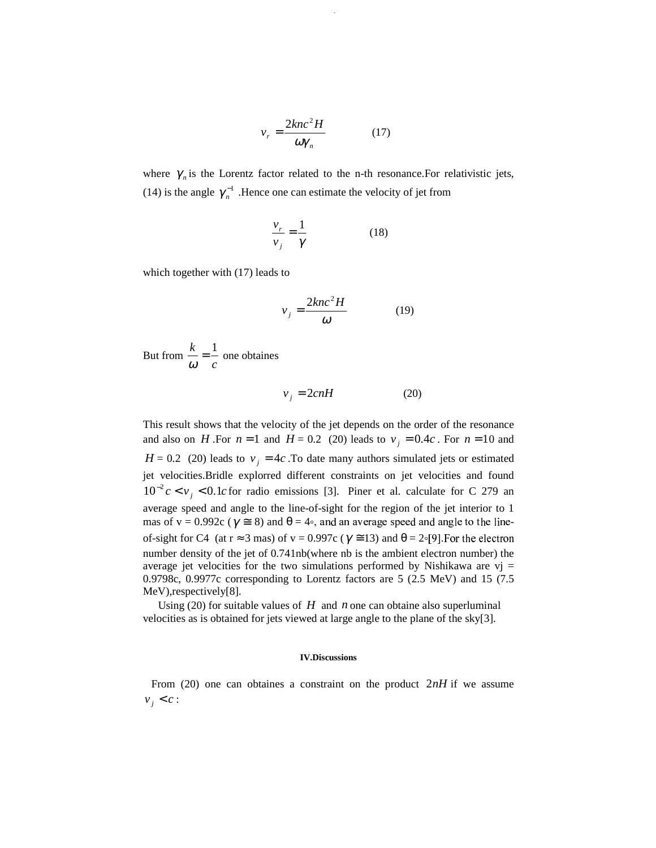$$
v_r = \frac{2knc^2H}{\omega \gamma_n} \tag{17}
$$

364 Ghe. Dumitrescu, C. Ciubotariu

where  $\gamma_n$  is the Lorentz factor related to the n-th resonance. For relativistic jets, (14) is the angle  $\gamma_n^{-1}$ . Hence one can estimate the velocity of jet from

$$
\frac{v_r}{v_j} = \frac{1}{\gamma} \tag{18}
$$

which together with (17) leads to

$$
v_j = \frac{2knc^2H}{\omega} \tag{19}
$$

But from *c*  $\frac{k}{\omega} = \frac{1}{c}$  one obtaines

$$
v_j = 2cnH \tag{20}
$$

This result shows that the velocity of the jet depends on the order of the resonance and also on *H*. For  $n = 1$  and  $H = 0.2$  (20) leads to  $v_i = 0.4c$ . For  $n = 10$  and  $H = 0.2$  (20) leads to  $v_i = 4c$ . To date many authors simulated jets or estimated jet velocities.Bridle explorred different constraints on jet velocities and found  $10^{-2}c < v_j < 0.1c$  for radio emissions [3]. Piner et al. calculate for C 279 an average speed and angle to the line-of-sight for the region of the jet interior to 1 mas of  $v = 0.992c$  ( $\gamma \approx 8$ ) and  $\theta = 4$ <sup>o</sup>, and an average speed and angle to the lineof-sight for C4 (at  $r \approx 3$  mas) of  $v = 0.997c$  ( $\gamma \approx 13$ ) and  $\theta = 2\degree[9]$ . For the electron number density of the jet of 0.741nb(where nb is the ambient electron number) the average jet velocities for the two simulations performed by Nishikawa are  $vi =$ 0.9798c, 0.9977c corresponding to Lorentz factors are 5 (2.5 MeV) and 15 (7.5 MeV),respectively[8].

Using (20) for suitable values of  $H$  and  $n$  one can obtaine also superluminal velocities as is obtained for jets viewed at large angle to the plane of the sky[3].

#### **IV.Discussions**

From (20) one can obtaines a constraint on the product 2*nH* if we assume  $v_i < c$ :